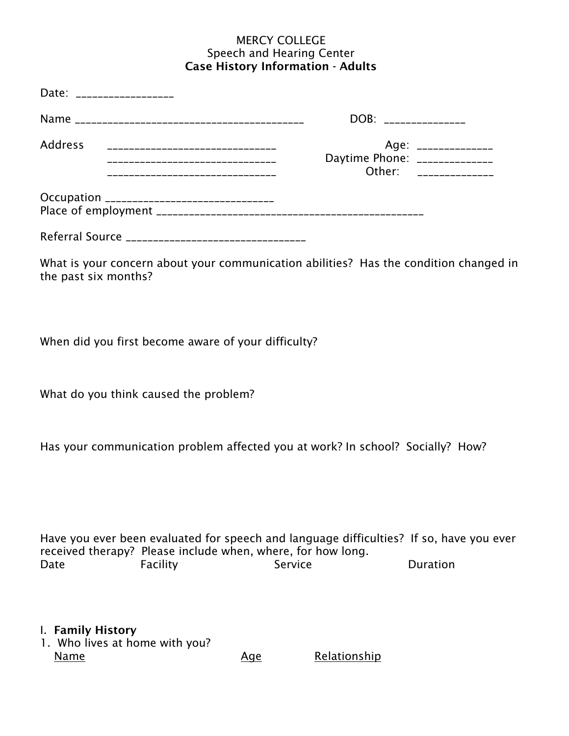## MERCY COLLEGE Speech and Hearing Center Case History Information - Adults

|                | Date: ___________________                                           |                               |                                              |
|----------------|---------------------------------------------------------------------|-------------------------------|----------------------------------------------|
|                |                                                                     |                               | DOB: _______________                         |
| <b>Address</b> | __________________________________<br>----------------------------- | Daytime Phone: ______________ | Age: ______________<br>Other: ______________ |
|                | Occupation ________________________________                         |                               |                                              |
|                |                                                                     |                               |                                              |

What is your concern about your communication abilities? Has the condition changed in the past six months?

When did you first become aware of your difficulty?

What do you think caused the problem?

Has your communication problem affected you at work? In school? Socially? How?

Have you ever been evaluated for speech and language difficulties? If so, have you ever received therapy? Please include when, where, for how long. Date **Facility** Service Duration

I. Family History

1. Who lives at home with you? Name Age Relationship